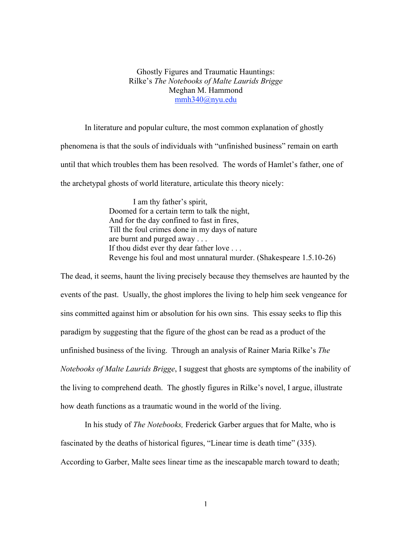## Ghostly Figures and Traumatic Hauntings: Rilke's *The Notebooks of Malte Laurids Brigge* Meghan M. Hammond mmh340@nyu.edu

In literature and popular culture, the most common explanation of ghostly phenomena is that the souls of individuals with "unfinished business" remain on earth until that which troubles them has been resolved. The words of Hamlet's father, one of the archetypal ghosts of world literature, articulate this theory nicely:

> I am thy father's spirit, Doomed for a certain term to talk the night, And for the day confined to fast in fires, Till the foul crimes done in my days of nature are burnt and purged away . . . If thou didst ever thy dear father love . . . Revenge his foul and most unnatural murder. (Shakespeare 1.5.10-26)

The dead, it seems, haunt the living precisely because they themselves are haunted by the events of the past. Usually, the ghost implores the living to help him seek vengeance for sins committed against him or absolution for his own sins. This essay seeks to flip this paradigm by suggesting that the figure of the ghost can be read as a product of the unfinished business of the living. Through an analysis of Rainer Maria Rilke's *The Notebooks of Malte Laurids Brigge*, I suggest that ghosts are symptoms of the inability of the living to comprehend death. The ghostly figures in Rilke's novel, I argue, illustrate how death functions as a traumatic wound in the world of the living.

In his study of *The Notebooks,* Frederick Garber argues that for Malte, who is fascinated by the deaths of historical figures, "Linear time is death time" (335). According to Garber, Malte sees linear time as the inescapable march toward to death;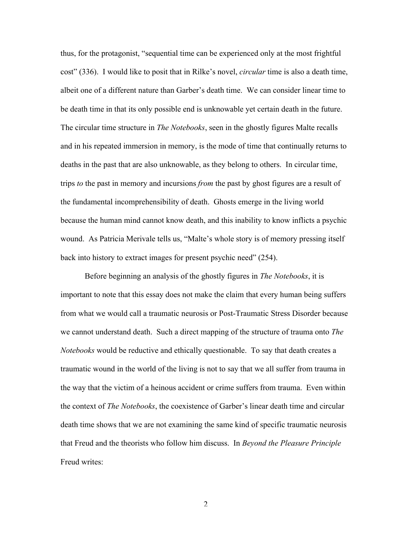thus, for the protagonist, "sequential time can be experienced only at the most frightful cost" (336). I would like to posit that in Rilke's novel, *circular* time is also a death time, albeit one of a different nature than Garber's death time. We can consider linear time to be death time in that its only possible end is unknowable yet certain death in the future. The circular time structure in *The Notebooks*, seen in the ghostly figures Malte recalls and in his repeated immersion in memory, is the mode of time that continually returns to deaths in the past that are also unknowable, as they belong to others. In circular time, trips *to* the past in memory and incursions *from* the past by ghost figures are a result of the fundamental incomprehensibility of death. Ghosts emerge in the living world because the human mind cannot know death, and this inability to know inflicts a psychic wound. As Patricia Merivale tells us, "Malte's whole story is of memory pressing itself back into history to extract images for present psychic need" (254).

Before beginning an analysis of the ghostly figures in *The Notebooks*, it is important to note that this essay does not make the claim that every human being suffers from what we would call a traumatic neurosis or Post-Traumatic Stress Disorder because we cannot understand death. Such a direct mapping of the structure of trauma onto *The Notebooks* would be reductive and ethically questionable. To say that death creates a traumatic wound in the world of the living is not to say that we all suffer from trauma in the way that the victim of a heinous accident or crime suffers from trauma. Even within the context of *The Notebooks*, the coexistence of Garber's linear death time and circular death time shows that we are not examining the same kind of specific traumatic neurosis that Freud and the theorists who follow him discuss. In *Beyond the Pleasure Principle* Freud writes:

 $\mathfrak{D}$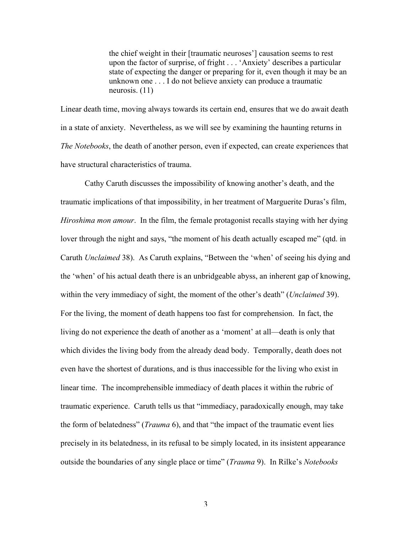the chief weight in their [traumatic neuroses'] causation seems to rest upon the factor of surprise, of fright . . . 'Anxiety' describes a particular state of expecting the danger or preparing for it, even though it may be an unknown one . . . I do not believe anxiety can produce a traumatic neurosis. (11)

Linear death time, moving always towards its certain end, ensures that we do await death in a state of anxiety. Nevertheless, as we will see by examining the haunting returns in *The Notebooks*, the death of another person, even if expected, can create experiences that have structural characteristics of trauma.

Cathy Caruth discusses the impossibility of knowing another's death, and the traumatic implications of that impossibility, in her treatment of Marguerite Duras's film, *Hiroshima mon amour*. In the film, the female protagonist recalls staying with her dying lover through the night and says, "the moment of his death actually escaped me" (qtd. in Caruth *Unclaimed* 38). As Caruth explains, "Between the 'when' of seeing his dying and the 'when' of his actual death there is an unbridgeable abyss, an inherent gap of knowing, within the very immediacy of sight, the moment of the other's death" (*Unclaimed* 39). For the living, the moment of death happens too fast for comprehension. In fact, the living do not experience the death of another as a 'moment' at all—death is only that which divides the living body from the already dead body. Temporally, death does not even have the shortest of durations, and is thus inaccessible for the living who exist in linear time. The incomprehensible immediacy of death places it within the rubric of traumatic experience. Caruth tells us that "immediacy, paradoxically enough, may take the form of belatedness" (*Trauma* 6), and that "the impact of the traumatic event lies precisely in its belatedness, in its refusal to be simply located, in its insistent appearance outside the boundaries of any single place or time" (*Trauma* 9). In Rilke's *Notebooks*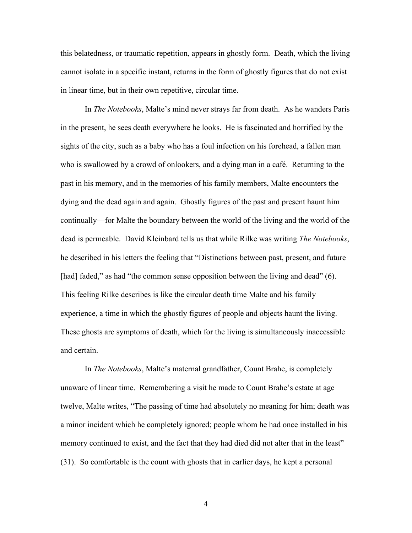this belatedness, or traumatic repetition, appears in ghostly form. Death, which the living cannot isolate in a specific instant, returns in the form of ghostly figures that do not exist in linear time, but in their own repetitive, circular time.

In *The Notebooks*, Malte's mind never strays far from death. As he wanders Paris in the present, he sees death everywhere he looks. He is fascinated and horrified by the sights of the city, such as a baby who has a foul infection on his forehead, a fallen man who is swallowed by a crowd of onlookers, and a dying man in a café. Returning to the past in his memory, and in the memories of his family members, Malte encounters the dying and the dead again and again. Ghostly figures of the past and present haunt him continually—for Malte the boundary between the world of the living and the world of the dead is permeable. David Kleinbard tells us that while Rilke was writing *The Notebooks*, he described in his letters the feeling that "Distinctions between past, present, and future [had] faded," as had "the common sense opposition between the living and dead" (6). This feeling Rilke describes is like the circular death time Malte and his family experience, a time in which the ghostly figures of people and objects haunt the living. These ghosts are symptoms of death, which for the living is simultaneously inaccessible and certain.

In *The Notebooks*, Malte's maternal grandfather, Count Brahe, is completely unaware of linear time. Remembering a visit he made to Count Brahe's estate at age twelve, Malte writes, "The passing of time had absolutely no meaning for him; death was a minor incident which he completely ignored; people whom he had once installed in his memory continued to exist, and the fact that they had died did not alter that in the least" (31). So comfortable is the count with ghosts that in earlier days, he kept a personal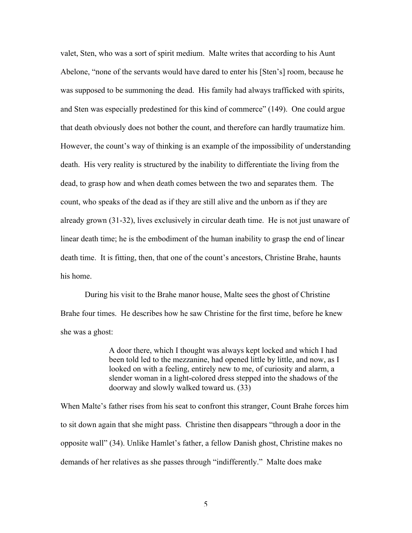valet, Sten, who was a sort of spirit medium. Malte writes that according to his Aunt Abelone, "none of the servants would have dared to enter his [Sten's] room, because he was supposed to be summoning the dead. His family had always trafficked with spirits, and Sten was especially predestined for this kind of commerce" (149). One could argue that death obviously does not bother the count, and therefore can hardly traumatize him. However, the count's way of thinking is an example of the impossibility of understanding death. His very reality is structured by the inability to differentiate the living from the dead, to grasp how and when death comes between the two and separates them. The count, who speaks of the dead as if they are still alive and the unborn as if they are already grown (31-32), lives exclusively in circular death time. He is not just unaware of linear death time; he is the embodiment of the human inability to grasp the end of linear death time. It is fitting, then, that one of the count's ancestors, Christine Brahe, haunts his home.

During his visit to the Brahe manor house, Malte sees the ghost of Christine Brahe four times. He describes how he saw Christine for the first time, before he knew she was a ghost:

> A door there, which I thought was always kept locked and which I had been told led to the mezzanine, had opened little by little, and now, as I looked on with a feeling, entirely new to me, of curiosity and alarm, a slender woman in a light-colored dress stepped into the shadows of the doorway and slowly walked toward us. (33)

When Malte's father rises from his seat to confront this stranger, Count Brahe forces him to sit down again that she might pass. Christine then disappears "through a door in the opposite wall" (34). Unlike Hamlet's father, a fellow Danish ghost, Christine makes no demands of her relatives as she passes through "indifferently." Malte does make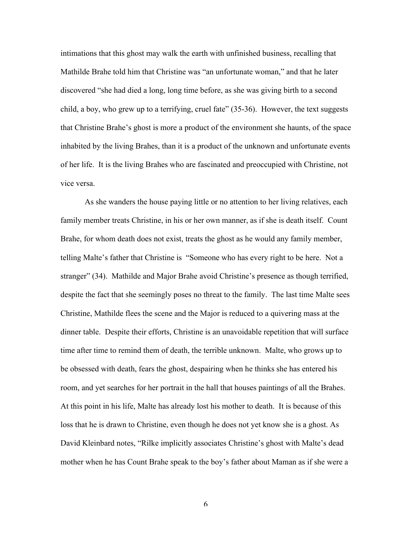intimations that this ghost may walk the earth with unfinished business, recalling that Mathilde Brahe told him that Christine was "an unfortunate woman," and that he later discovered "she had died a long, long time before, as she was giving birth to a second child, a boy, who grew up to a terrifying, cruel fate" (35-36). However, the text suggests that Christine Brahe's ghost is more a product of the environment she haunts, of the space inhabited by the living Brahes, than it is a product of the unknown and unfortunate events of her life. It is the living Brahes who are fascinated and preoccupied with Christine, not vice versa.

As she wanders the house paying little or no attention to her living relatives, each family member treats Christine, in his or her own manner, as if she is death itself. Count Brahe, for whom death does not exist, treats the ghost as he would any family member, telling Malte's father that Christine is "Someone who has every right to be here. Not a stranger" (34). Mathilde and Major Brahe avoid Christine's presence as though terrified, despite the fact that she seemingly poses no threat to the family. The last time Malte sees Christine, Mathilde flees the scene and the Major is reduced to a quivering mass at the dinner table. Despite their efforts, Christine is an unavoidable repetition that will surface time after time to remind them of death, the terrible unknown. Malte, who grows up to be obsessed with death, fears the ghost, despairing when he thinks she has entered his room, and yet searches for her portrait in the hall that houses paintings of all the Brahes. At this point in his life, Malte has already lost his mother to death. It is because of this loss that he is drawn to Christine, even though he does not yet know she is a ghost. As David Kleinbard notes, "Rilke implicitly associates Christine's ghost with Malte's dead mother when he has Count Brahe speak to the boy's father about Maman as if she were a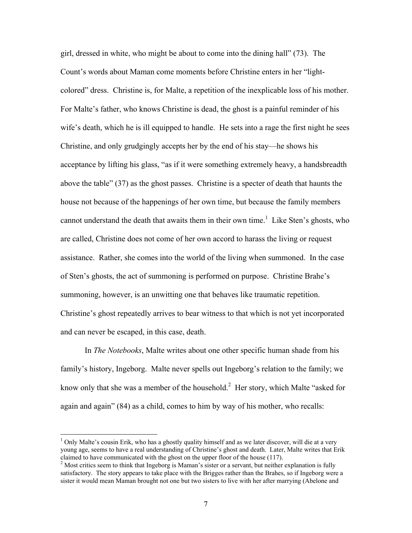girl, dressed in white, who might be about to come into the dining hall" (73). The Count's words about Maman come moments before Christine enters in her "lightcolored" dress. Christine is, for Malte, a repetition of the inexplicable loss of his mother. For Malte's father, who knows Christine is dead, the ghost is a painful reminder of his wife's death, which he is ill equipped to handle. He sets into a rage the first night he sees Christine, and only grudgingly accepts her by the end of his stay—he shows his acceptance by lifting his glass, "as if it were something extremely heavy, a handsbreadth above the table" (37) as the ghost passes. Christine is a specter of death that haunts the house not because of the happenings of her own time, but because the family members cannot understand the death that awaits them in their own time.<sup>1</sup> Like Sten's ghosts, who are called, Christine does not come of her own accord to harass the living or request assistance. Rather, she comes into the world of the living when summoned. In the case of Sten's ghosts, the act of summoning is performed on purpose. Christine Brahe's summoning, however, is an unwitting one that behaves like traumatic repetition. Christine's ghost repeatedly arrives to bear witness to that which is not yet incorporated and can never be escaped, in this case, death.

In *The Notebooks*, Malte writes about one other specific human shade from his family's history, Ingeborg. Malte never spells out Ingeborg's relation to the family; we know only that she was a member of the household.<sup>2</sup> Her story, which Malte "asked for again and again" (84) as a child, comes to him by way of his mother, who recalls:

 $\frac{1}{1}$  $1$  Only Malte's cousin Erik, who has a ghostly quality himself and as we later discover, will die at a very young age, seems to have a real understanding of Christine's ghost and death. Later, Malte writes that Erik claimed to have communicated with the ghost on the upper floor of the house (117).

 $2^{2}$  Most critics seem to think that Ingeborg is Maman's sister or a servant, but neither explanation is fully satisfactory. The story appears to take place with the Brigges rather than the Brahes, so if Ingeborg were a sister it would mean Maman brought not one but two sisters to live with her after marrying (Abelone and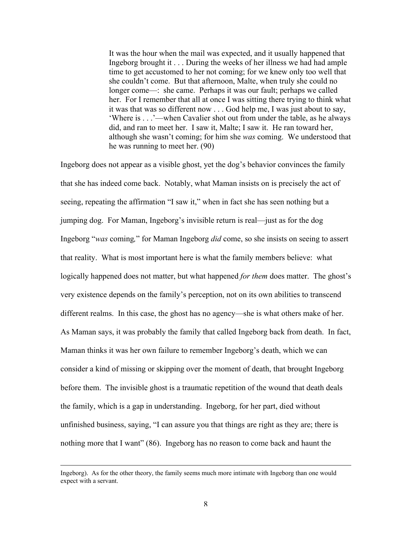It was the hour when the mail was expected, and it usually happened that Ingeborg brought it . . . During the weeks of her illness we had had ample time to get accustomed to her not coming; for we knew only too well that she couldn't come. But that afternoon, Malte, when truly she could no longer come—: she came. Perhaps it was our fault; perhaps we called her. For I remember that all at once I was sitting there trying to think what it was that was so different now . . . God help me, I was just about to say, 'Where is . . .'—when Cavalier shot out from under the table, as he always did, and ran to meet her. I saw it, Malte; I saw it. He ran toward her, although she wasn't coming; for him she *was* coming. We understood that he was running to meet her. (90)

Ingeborg does not appear as a visible ghost, yet the dog's behavior convinces the family that she has indeed come back. Notably, what Maman insists on is precisely the act of seeing, repeating the affirmation "I saw it," when in fact she has seen nothing but a jumping dog. For Maman, Ingeborg's invisible return is real—just as for the dog Ingeborg "*was* coming*,*" for Maman Ingeborg *did* come, so she insists on seeing to assert that reality. What is most important here is what the family members believe: what logically happened does not matter, but what happened *for them* does matter. The ghost's very existence depends on the family's perception, not on its own abilities to transcend different realms. In this case, the ghost has no agency—she is what others make of her. As Maman says, it was probably the family that called Ingeborg back from death. In fact, Maman thinks it was her own failure to remember Ingeborg's death, which we can consider a kind of missing or skipping over the moment of death, that brought Ingeborg before them. The invisible ghost is a traumatic repetition of the wound that death deals the family, which is a gap in understanding. Ingeborg, for her part, died without unfinished business, saying, "I can assure you that things are right as they are; there is nothing more that I want" (86). Ingeborg has no reason to come back and haunt the

Ingeborg). As for the other theory, the family seems much more intimate with Ingeborg than one would expect with a servant.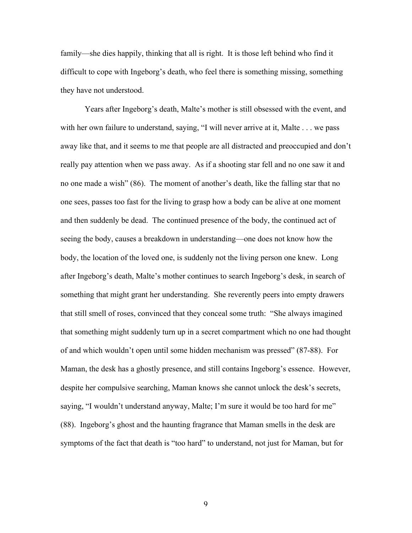family—she dies happily, thinking that all is right. It is those left behind who find it difficult to cope with Ingeborg's death, who feel there is something missing, something they have not understood.

Years after Ingeborg's death, Malte's mother is still obsessed with the event, and with her own failure to understand, saying, "I will never arrive at it, Malte . . . we pass away like that, and it seems to me that people are all distracted and preoccupied and don't really pay attention when we pass away. As if a shooting star fell and no one saw it and no one made a wish" (86). The moment of another's death, like the falling star that no one sees, passes too fast for the living to grasp how a body can be alive at one moment and then suddenly be dead. The continued presence of the body, the continued act of seeing the body, causes a breakdown in understanding—one does not know how the body, the location of the loved one, is suddenly not the living person one knew. Long after Ingeborg's death, Malte's mother continues to search Ingeborg's desk, in search of something that might grant her understanding. She reverently peers into empty drawers that still smell of roses, convinced that they conceal some truth: "She always imagined that something might suddenly turn up in a secret compartment which no one had thought of and which wouldn't open until some hidden mechanism was pressed" (87-88). For Maman, the desk has a ghostly presence, and still contains Ingeborg's essence. However, despite her compulsive searching, Maman knows she cannot unlock the desk's secrets, saying, "I wouldn't understand anyway, Malte; I'm sure it would be too hard for me" (88). Ingeborg's ghost and the haunting fragrance that Maman smells in the desk are symptoms of the fact that death is "too hard" to understand, not just for Maman, but for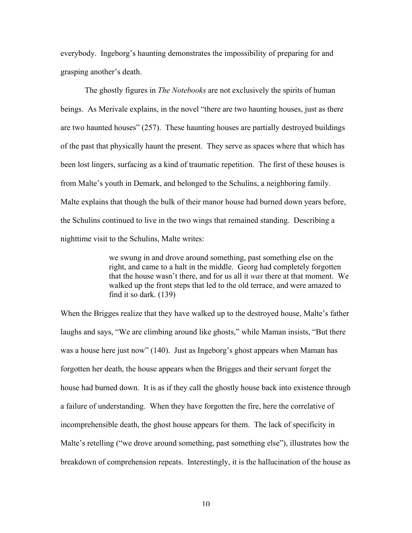everybody. Ingeborg's haunting demonstrates the impossibility of preparing for and grasping another's death.

The ghostly figures in *The Notebooks* are not exclusively the spirits of human beings. As Merivale explains, in the novel "there are two haunting houses, just as there are two haunted houses" (257). These haunting houses are partially destroyed buildings of the past that physically haunt the present. They serve as spaces where that which has been lost lingers, surfacing as a kind of traumatic repetition. The first of these houses is from Malte's youth in Demark, and belonged to the Schulins, a neighboring family. Malte explains that though the bulk of their manor house had burned down years before, the Schulins continued to live in the two wings that remained standing. Describing a nighttime visit to the Schulins, Malte writes:

> we swung in and drove around something, past something else on the right, and came to a halt in the middle. Georg had completely forgotten that the house wasn't there, and for us all it *was* there at that moment. We walked up the front steps that led to the old terrace, and were amazed to find it so dark. (139)

When the Brigges realize that they have walked up to the destroyed house, Malte's father laughs and says, "We are climbing around like ghosts," while Maman insists, "But there was a house here just now" (140). Just as Ingeborg's ghost appears when Maman has forgotten her death, the house appears when the Brigges and their servant forget the house had burned down. It is as if they call the ghostly house back into existence through a failure of understanding. When they have forgotten the fire, here the correlative of incomprehensible death, the ghost house appears for them. The lack of specificity in Malte's retelling ("we drove around something, past something else"), illustrates how the breakdown of comprehension repeats. Interestingly, it is the hallucination of the house as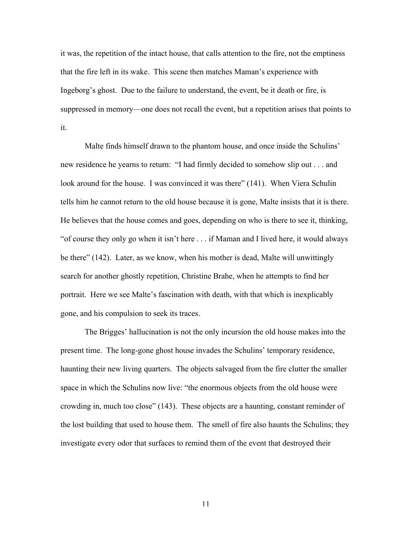it was, the repetition of the intact house, that calls attention to the fire, not the emptiness that the fire left in its wake. This scene then matches Maman's experience with Ingeborg's ghost. Due to the failure to understand, the event, be it death or fire, is suppressed in memory—one does not recall the event, but a repetition arises that points to it.

Malte finds himself drawn to the phantom house, and once inside the Schulins' new residence he yearns to return: "I had firmly decided to somehow slip out . . . and look around for the house. I was convinced it was there" (141). When Viera Schulin tells him he cannot return to the old house because it is gone, Malte insists that it is there. He believes that the house comes and goes, depending on who is there to see it, thinking, "of course they only go when it isn't here . . . if Maman and I lived here, it would always be there" (142). Later, as we know, when his mother is dead, Malte will unwittingly search for another ghostly repetition, Christine Brahe, when he attempts to find her portrait. Here we see Malte's fascination with death, with that which is inexplicably gone, and his compulsion to seek its traces.

The Brigges' hallucination is not the only incursion the old house makes into the present time. The long-gone ghost house invades the Schulins' temporary residence, haunting their new living quarters. The objects salvaged from the fire clutter the smaller space in which the Schulins now live: "the enormous objects from the old house were crowding in, much too close" (143). These objects are a haunting, constant reminder of the lost building that used to house them. The smell of fire also haunts the Schulins; they investigate every odor that surfaces to remind them of the event that destroyed their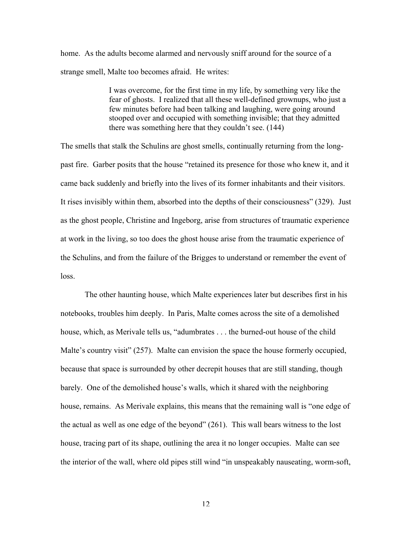home. As the adults become alarmed and nervously sniff around for the source of a strange smell, Malte too becomes afraid. He writes:

> I was overcome, for the first time in my life, by something very like the fear of ghosts. I realized that all these well-defined grownups, who just a few minutes before had been talking and laughing, were going around stooped over and occupied with something invisible; that they admitted there was something here that they couldn't see. (144)

The smells that stalk the Schulins are ghost smells, continually returning from the longpast fire. Garber posits that the house "retained its presence for those who knew it, and it came back suddenly and briefly into the lives of its former inhabitants and their visitors. It rises invisibly within them, absorbed into the depths of their consciousness" (329). Just as the ghost people, Christine and Ingeborg, arise from structures of traumatic experience at work in the living, so too does the ghost house arise from the traumatic experience of the Schulins, and from the failure of the Brigges to understand or remember the event of loss.

The other haunting house, which Malte experiences later but describes first in his notebooks, troubles him deeply. In Paris, Malte comes across the site of a demolished house, which, as Merivale tells us, "adumbrates . . . the burned-out house of the child Malte's country visit" (257). Malte can envision the space the house formerly occupied, because that space is surrounded by other decrepit houses that are still standing, though barely. One of the demolished house's walls, which it shared with the neighboring house, remains. As Merivale explains, this means that the remaining wall is "one edge of the actual as well as one edge of the beyond" (261). This wall bears witness to the lost house, tracing part of its shape, outlining the area it no longer occupies. Malte can see the interior of the wall, where old pipes still wind "in unspeakably nauseating, worm-soft,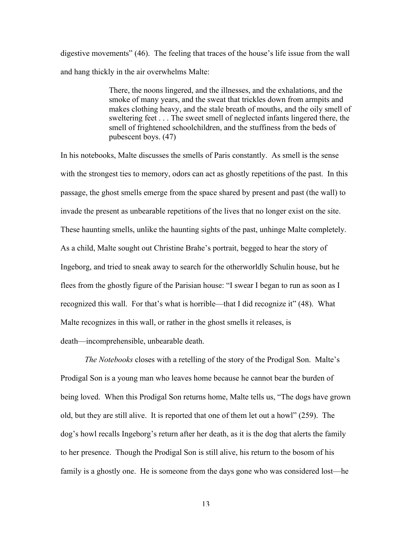digestive movements" (46). The feeling that traces of the house's life issue from the wall and hang thickly in the air overwhelms Malte:

> There, the noons lingered, and the illnesses, and the exhalations, and the smoke of many years, and the sweat that trickles down from armpits and makes clothing heavy, and the stale breath of mouths, and the oily smell of sweltering feet . . . The sweet smell of neglected infants lingered there, the smell of frightened schoolchildren, and the stuffiness from the beds of pubescent boys. (47)

In his notebooks, Malte discusses the smells of Paris constantly. As smell is the sense with the strongest ties to memory, odors can act as ghostly repetitions of the past. In this passage, the ghost smells emerge from the space shared by present and past (the wall) to invade the present as unbearable repetitions of the lives that no longer exist on the site. These haunting smells, unlike the haunting sights of the past, unhinge Malte completely. As a child, Malte sought out Christine Brahe's portrait, begged to hear the story of Ingeborg, and tried to sneak away to search for the otherworldly Schulin house, but he flees from the ghostly figure of the Parisian house: "I swear I began to run as soon as I recognized this wall. For that's what is horrible—that I did recognize it" (48). What Malte recognizes in this wall, or rather in the ghost smells it releases, is death—incomprehensible, unbearable death.

*The Notebooks* closes with a retelling of the story of the Prodigal Son. Malte's Prodigal Son is a young man who leaves home because he cannot bear the burden of being loved. When this Prodigal Son returns home, Malte tells us, "The dogs have grown old, but they are still alive. It is reported that one of them let out a howl" (259). The dog's howl recalls Ingeborg's return after her death, as it is the dog that alerts the family to her presence. Though the Prodigal Son is still alive, his return to the bosom of his family is a ghostly one. He is someone from the days gone who was considered lost—he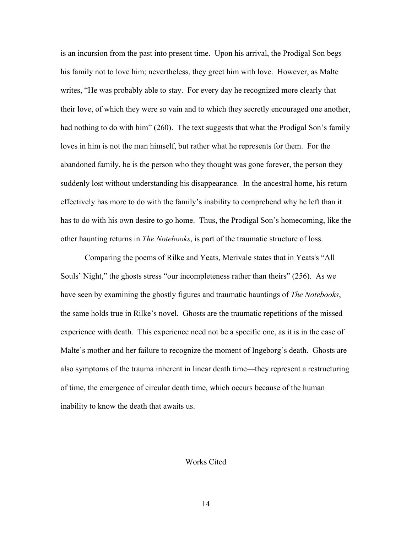is an incursion from the past into present time. Upon his arrival, the Prodigal Son begs his family not to love him; nevertheless, they greet him with love. However, as Malte writes, "He was probably able to stay. For every day he recognized more clearly that their love, of which they were so vain and to which they secretly encouraged one another, had nothing to do with him" (260). The text suggests that what the Prodigal Son's family loves in him is not the man himself, but rather what he represents for them. For the abandoned family, he is the person who they thought was gone forever, the person they suddenly lost without understanding his disappearance. In the ancestral home, his return effectively has more to do with the family's inability to comprehend why he left than it has to do with his own desire to go home. Thus, the Prodigal Son's homecoming, like the other haunting returns in *The Notebooks*, is part of the traumatic structure of loss.

Comparing the poems of Rilke and Yeats, Merivale states that in Yeats's "All Souls' Night," the ghosts stress "our incompleteness rather than theirs" (256). As we have seen by examining the ghostly figures and traumatic hauntings of *The Notebooks*, the same holds true in Rilke's novel. Ghosts are the traumatic repetitions of the missed experience with death. This experience need not be a specific one, as it is in the case of Malte's mother and her failure to recognize the moment of Ingeborg's death. Ghosts are also symptoms of the trauma inherent in linear death time—they represent a restructuring of time, the emergence of circular death time, which occurs because of the human inability to know the death that awaits us.

## Works Cited